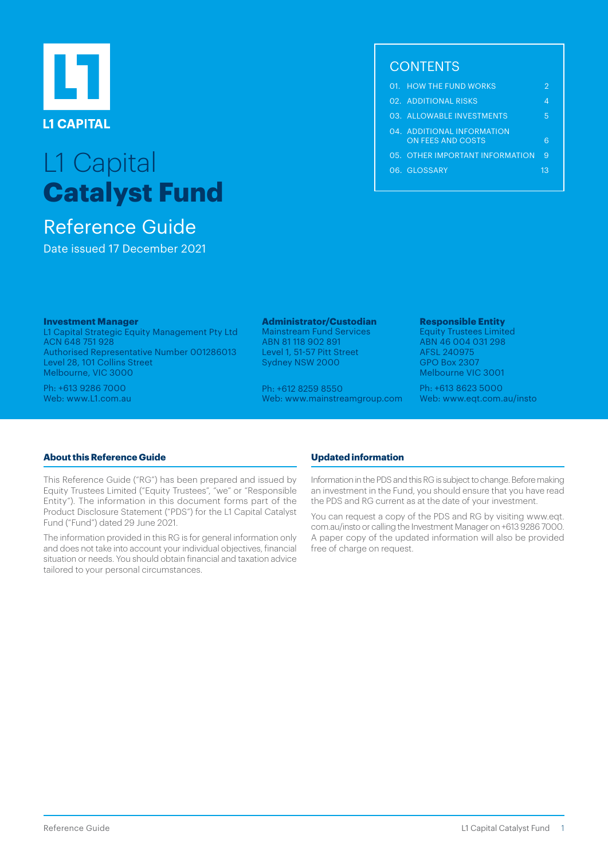

# L1 Capital **Catalyst Fund**

# Reference Guide

Date issued 17 December 2021

# **CONTENTS**

|  | 01. HOW THE FUND WORKS                                 |    |
|--|--------------------------------------------------------|----|
|  | 02. ADDITIONAL RISKS                                   | Δ  |
|  | 03. ALLOWABLE INVESTMENTS                              | 5  |
|  | 04. ADDITIONAL INFORMATION<br><b>ON FEES AND COSTS</b> |    |
|  | 05. OTHER IMPORTANT INFORMATION                        | 9  |
|  | 06. GLOSSARY                                           | 13 |
|  |                                                        |    |

#### **Investment Manager**

L1 Capital Strategic Equity Management Pty Ltd ACN 648 751 928 Authorised Representative Number 001286013 Level 28, 101 Collins Street Melbourne, VIC 3000

Ph: +613 9286 7000 Web: [www.L1.com.au](http://www.L1.com.au) 

# **Administrator/Custodian**

Mainstream Fund Services ABN 81 118 902 891 Level 1, 51-57 Pitt Street Sydney NSW 2000

Ph: +612 8259 8550 Web: [www.mainstreamgroup.com](http://www.mainstreamgroup.com)

#### **Responsible Entity**

Equity Trustees Limited ABN 46 004 031 298 AFSL 240975 GPO Box 2307 Melbourne VIC 3001

Ph: +613 8623 5000 Web: [www.eqt.com.au/insto](http://www.eqt.com.au/insto) 

# **About this Reference Guide**

This Reference Guide ("RG") has been prepared and issued by Equity Trustees Limited ("Equity Trustees", "we" or "Responsible Entity"). The information in this document forms part of the Product Disclosure Statement ("PDS") for the L1 Capital Catalyst Fund ("Fund") dated 29 June 2021.

The information provided in this RG is for general information only and does not take into account your individual objectives, financial situation or needs. You should obtain financial and taxation advice tailored to your personal circumstances.

# **Updated information**

Information in the PDS and this RG is subject to change. Before making an investment in the Fund, you should ensure that you have read the PDS and RG current as at the date of your investment.

You can request a copy of the PDS and RG by visiting [www.eqt.](http://www.eqt.com.au/insto) [com.au/insto](http://www.eqt.com.au/insto) or calling the Investment Manager on +613 9286 7000. A paper copy of the updated information will also be provided free of charge on request.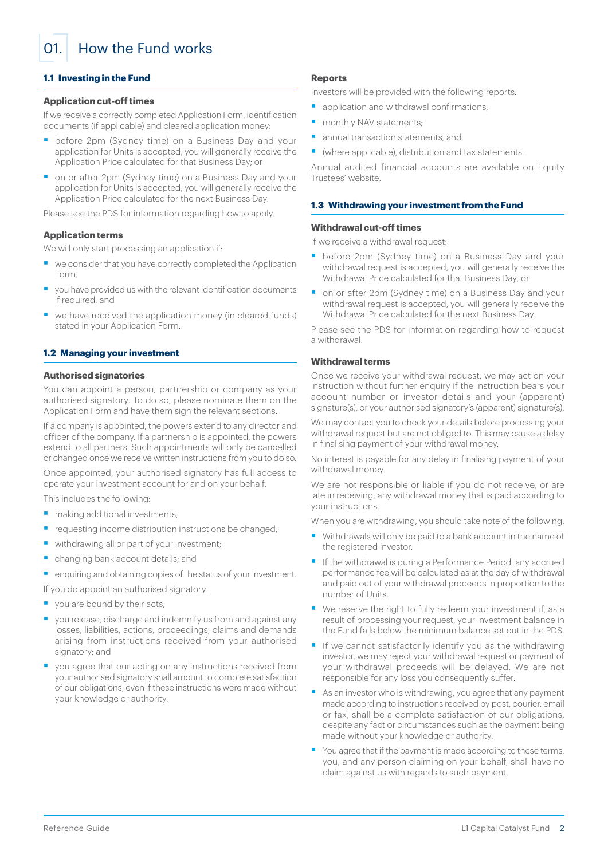<span id="page-1-0"></span>01. How the Fund works

# **1.1 Investing in the Fund**

#### **Application cut-off times**

If we receive a correctly completed Application Form, identification documents (if applicable) and cleared application money:

- before 2pm (Sydney time) on a Business Day and your application for Units is accepted, you will generally receive the Application Price calculated for that Business Day; or
- on or after 2pm (Sydney time) on a Business Day and your application for Units is accepted, you will generally receive the Application Price calculated for the next Business Day.

Please see the PDS for information regarding how to apply.

#### **Application terms**

We will only start processing an application if:

- we consider that you have correctly completed the Application Form;
- § you have provided us with the relevant identification documents if required; and
- we have received the application money (in cleared funds) stated in your Application Form.

#### **1.2 Managing your investment**

## **Authorised signatories**

You can appoint a person, partnership or company as your authorised signatory. To do so, please nominate them on the Application Form and have them sign the relevant sections.

If a company is appointed, the powers extend to any director and officer of the company. If a partnership is appointed, the powers extend to all partners. Such appointments will only be cancelled or changed once we receive written instructions from you to do so.

Once appointed, your authorised signatory has full access to operate your investment account for and on your behalf.

This includes the following:

- making additional investments;
- requesting income distribution instructions be changed;
- withdrawing all or part of your investment;
- § changing bank account details; and
- enquiring and obtaining copies of the status of your investment.
- If you do appoint an authorised signatory:
- vou are bound by their acts;
- you release, discharge and indemnify us from and against any losses, liabilities, actions, proceedings, claims and demands arising from instructions received from your authorised signatory; and
- you agree that our acting on any instructions received from your authorised signatory shall amount to complete satisfaction of our obligations, even if these instructions were made without your knowledge or authority.

#### **Reports**

Investors will be provided with the following reports:

- application and withdrawal confirmations;
- monthly NAV statements;
- annual transaction statements; and
- (where applicable), distribution and tax statements.

Annual audited financial accounts are available on Equity Trustees' website.

#### **1.3 Withdrawing your investment from the Fund**

#### **Withdrawal cut-off times**

If we receive a withdrawal request:

- before 2pm (Sydney time) on a Business Day and your withdrawal request is accepted, you will generally receive the Withdrawal Price calculated for that Business Day; or
- on or after 2pm (Sydney time) on a Business Day and your withdrawal request is accepted, you will generally receive the Withdrawal Price calculated for the next Business Day.

Please see the PDS for information regarding how to request a withdrawal.

# **Withdrawal terms**

Once we receive your withdrawal request, we may act on your instruction without further enquiry if the instruction bears your account number or investor details and your (apparent) signature(s), or your authorised signatory's (apparent) signature(s).

We may contact you to check your details before processing your withdrawal request but are not obliged to. This may cause a delay in finalising payment of your withdrawal money.

No interest is payable for any delay in finalising payment of your withdrawal money.

We are not responsible or liable if you do not receive, or are late in receiving, any withdrawal money that is paid according to your instructions.

When you are withdrawing, you should take note of the following:

- Withdrawals will only be paid to a bank account in the name of the registered investor.
- If the withdrawal is during a Performance Period, any accrued performance fee will be calculated as at the day of withdrawal and paid out of your withdrawal proceeds in proportion to the number of Units.
- We reserve the right to fully redeem your investment if, as a result of processing your request, your investment balance in the Fund falls below the minimum balance set out in the PDS.
- If we cannot satisfactorily identify you as the withdrawing investor, we may reject your withdrawal request or payment of your withdrawal proceeds will be delayed. We are not responsible for any loss you consequently suffer.
- As an investor who is withdrawing, you agree that any payment made according to instructions received by post, courier, email or fax, shall be a complete satisfaction of our obligations, despite any fact or circumstances such as the payment being made without your knowledge or authority.
- You agree that if the payment is made according to these terms, you, and any person claiming on your behalf, shall have no claim against us with regards to such payment.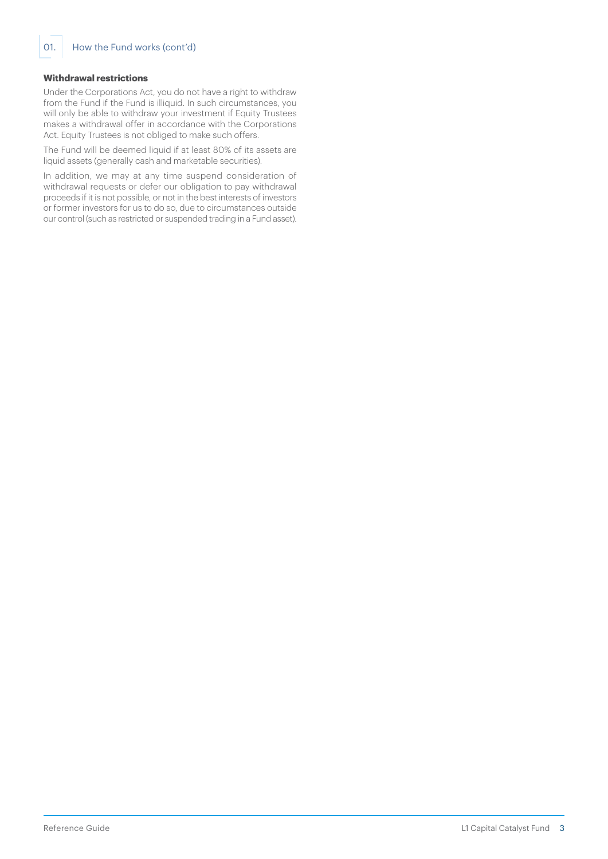# **Withdrawal restrictions**

Under the Corporations Act, you do not have a right to withdraw from the Fund if the Fund is illiquid. In such circumstances, you will only be able to withdraw your investment if Equity Trustees makes a withdrawal offer in accordance with the Corporations Act. Equity Trustees is not obliged to make such offers.

The Fund will be deemed liquid if at least 80% of its assets are liquid assets (generally cash and marketable securities).

In addition, we may at any time suspend consideration of withdrawal requests or defer our obligation to pay withdrawal proceeds if it is not possible, or not in the best interests of investors or former investors for us to do so, due to circumstances outside our control (such as restricted or suspended trading in a Fund asset).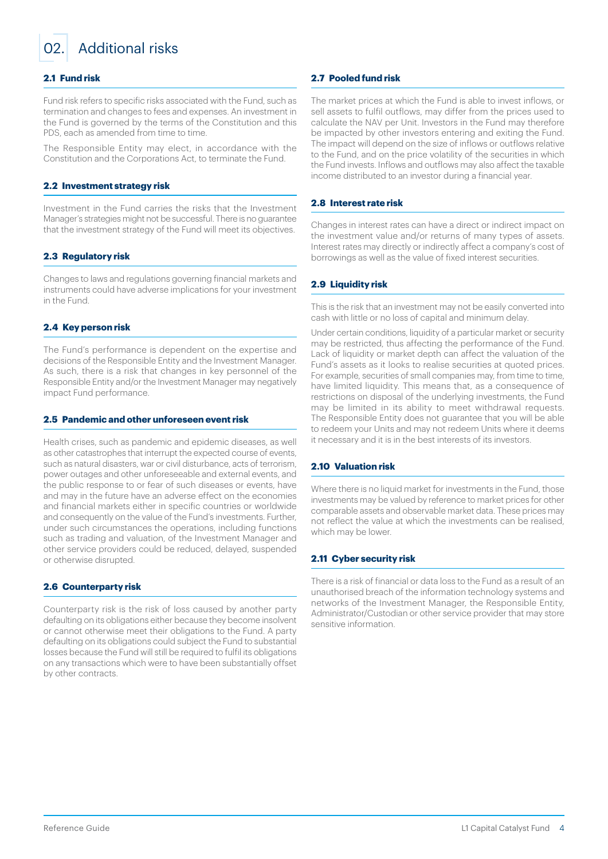<span id="page-3-0"></span>

# 02. Additional risks

# **2.1 Fund risk**

Fund risk refers to specific risks associated with the Fund, such as termination and changes to fees and expenses. An investment in the Fund is governed by the terms of the Constitution and this PDS, each as amended from time to time.

The Responsible Entity may elect, in accordance with the Constitution and the Corporations Act, to terminate the Fund.

#### **2.2 Investment strategy risk**

Investment in the Fund carries the risks that the Investment Manager's strategies might not be successful. There is no guarantee that the investment strategy of the Fund will meet its objectives.

# **2.3 Regulatory risk**

Changes to laws and regulations governing financial markets and instruments could have adverse implications for your investment in the Fund.

#### **2.4 Key person risk**

The Fund's performance is dependent on the expertise and decisions of the Responsible Entity and the Investment Manager. As such, there is a risk that changes in key personnel of the Responsible Entity and/or the Investment Manager may negatively impact Fund performance.

#### **2.5 Pandemic and other unforeseen event risk**

Health crises, such as pandemic and epidemic diseases, as well as other catastrophes that interrupt the expected course of events, such as natural disasters, war or civil disturbance, acts of terrorism, power outages and other unforeseeable and external events, and the public response to or fear of such diseases or events, have and may in the future have an adverse effect on the economies and financial markets either in specific countries or worldwide and consequently on the value of the Fund's investments. Further, under such circumstances the operations, including functions such as trading and valuation, of the Investment Manager and other service providers could be reduced, delayed, suspended or otherwise disrupted.

# **2.6 Counterparty risk**

Counterparty risk is the risk of loss caused by another party defaulting on its obligations either because they become insolvent or cannot otherwise meet their obligations to the Fund. A party defaulting on its obligations could subject the Fund to substantial losses because the Fund will still be required to fulfil its obligations on any transactions which were to have been substantially offset by other contracts.

# **2.7 Pooled fund risk**

The market prices at which the Fund is able to invest inflows, or sell assets to fulfil outflows, may differ from the prices used to calculate the NAV per Unit. Investors in the Fund may therefore be impacted by other investors entering and exiting the Fund. The impact will depend on the size of inflows or outflows relative to the Fund, and on the price volatility of the securities in which the Fund invests. Inflows and outflows may also affect the taxable income distributed to an investor during a financial year.

# **2.8 Interest rate risk**

Changes in interest rates can have a direct or indirect impact on the investment value and/or returns of many types of assets. Interest rates may directly or indirectly affect a company's cost of borrowings as well as the value of fixed interest securities.

# **2.9 Liquidity risk**

This is the risk that an investment may not be easily converted into cash with little or no loss of capital and minimum delay.

Under certain conditions, liquidity of a particular market or security may be restricted, thus affecting the performance of the Fund. Lack of liquidity or market depth can affect the valuation of the Fund's assets as it looks to realise securities at quoted prices. For example, securities of small companies may, from time to time, have limited liquidity. This means that, as a consequence of restrictions on disposal of the underlying investments, the Fund may be limited in its ability to meet withdrawal requests. The Responsible Entity does not guarantee that you will be able to redeem your Units and may not redeem Units where it deems it necessary and it is in the best interests of its investors.

# **2.10 Valuation risk**

Where there is no liquid market for investments in the Fund, those investments may be valued by reference to market prices for other comparable assets and observable market data. These prices may not reflect the value at which the investments can be realised, which may be lower.

#### **2.11 Cyber security risk**

There is a risk of financial or data loss to the Fund as a result of an unauthorised breach of the information technology systems and networks of the Investment Manager, the Responsible Entity, Administrator/Custodian or other service provider that may store sensitive information.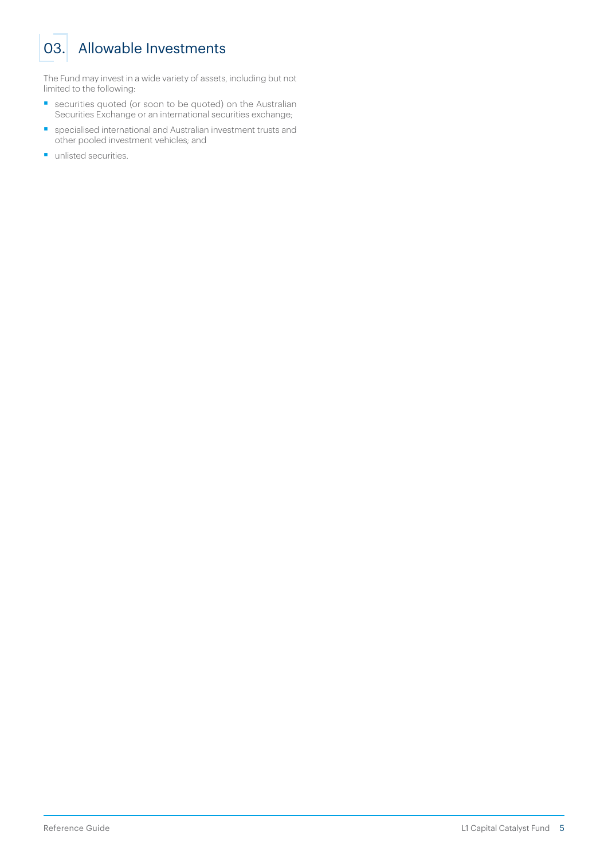# <span id="page-4-0"></span>03. Allowable Investments

The Fund may invest in a wide variety of assets, including but not limited to the following:

- securities quoted (or soon to be quoted) on the Australian Securities Exchange or an international securities exchange;
- § specialised international and Australian investment trusts and other pooled investment vehicles; and
- unlisted securities.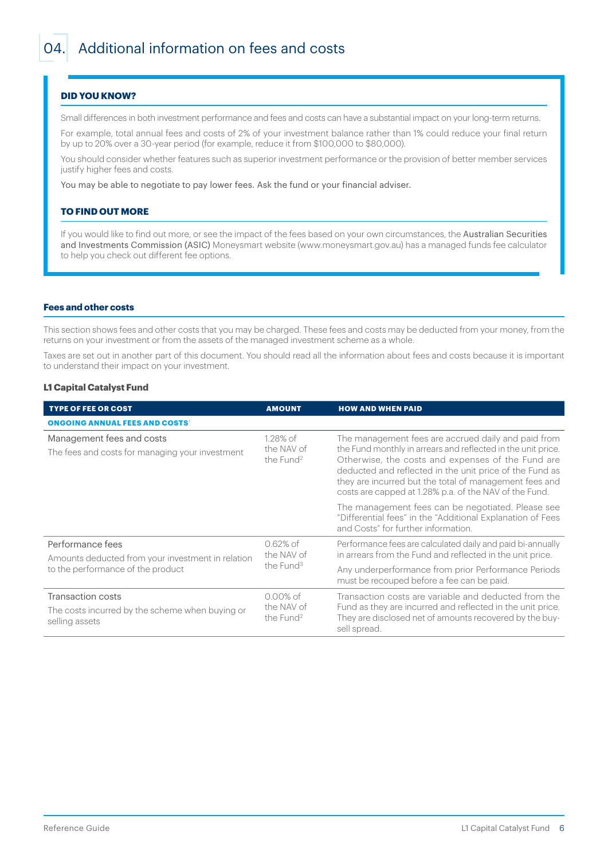# <span id="page-5-0"></span>**DID YOU KNOW?**

Small differences in both investment performance and fees and costs can have a substantial impact on your long-term returns.

For example, total annual fees and costs of 2% of your investment balance rather than 1% could reduce your final return by up to 20% over a 30-year period (for example, reduce it from \$100,000 to \$80,000).

You should consider whether features such as superior investment performance or the provision of better member services justify higher fees and costs.

You may be able to negotiate to pay lower fees. Ask the fund or your financial adviser.

#### **TO FIND OUT MORE**

If you would like to find out more, or see the impact of the fees based on your own circumstances, the Australian Securities and Investments Commission (ASIC) Moneysmart website [\(www.moneysmart.gov.au\)](http://www.moneysmart.gov.au) has a managed funds fee calculator to help you check out different fee options.

## **Fees and other costs**

This section shows fees and other costs that you may be charged. These fees and costs may be deducted from your money, from the returns on your investment or from the assets of the managed investment scheme as a whole.

Taxes are set out in another part of this document. You should read all the information about fees and costs because it is important to understand their impact on your investment.

# **L1 Capital Catalyst Fund**

| <b>TYPE OF FEE OR COST</b>                                                             | <b>AMOUNT</b>                                      | <b>HOW AND WHEN PAID</b>                                                                                                                                                                                                                                                                                                                                |  |  |  |  |
|----------------------------------------------------------------------------------------|----------------------------------------------------|---------------------------------------------------------------------------------------------------------------------------------------------------------------------------------------------------------------------------------------------------------------------------------------------------------------------------------------------------------|--|--|--|--|
| <b>ONGOING ANNUAL FEES AND COSTS</b>                                                   |                                                    |                                                                                                                                                                                                                                                                                                                                                         |  |  |  |  |
| Management fees and costs<br>The fees and costs for managing your investment           | $1.28\%$ of<br>the NAV of<br>the Fund <sup>2</sup> | The management fees are accrued daily and paid from<br>the Fund monthly in arrears and reflected in the unit price.<br>Otherwise, the costs and expenses of the Fund are<br>deducted and reflected in the unit price of the Fund as<br>they are incurred but the total of management fees and<br>costs are capped at 1.28% p.a. of the NAV of the Fund. |  |  |  |  |
|                                                                                        |                                                    | The management fees can be negotiated. Please see<br>"Differential fees" in the "Additional Explanation of Fees<br>and Costs" for further information.                                                                                                                                                                                                  |  |  |  |  |
| Performance fees<br>Amounts deducted from your investment in relation                  | $0.62\%$ of<br>the NAV of<br>the Fund <sup>3</sup> | Performance fees are calculated daily and paid bi-annually<br>in arrears from the Fund and reflected in the unit price.                                                                                                                                                                                                                                 |  |  |  |  |
| to the performance of the product                                                      |                                                    | Any underperformance from prior Performance Periods<br>must be recouped before a fee can be paid.                                                                                                                                                                                                                                                       |  |  |  |  |
| Transaction costs<br>The costs incurred by the scheme when buying or<br>selling assets | $0.00\%$ of<br>the NAV of<br>the Fund <sup>2</sup> | Transaction costs are variable and deducted from the<br>Fund as they are incurred and reflected in the unit price.<br>They are disclosed net of amounts recovered by the buy-<br>sell spread.                                                                                                                                                           |  |  |  |  |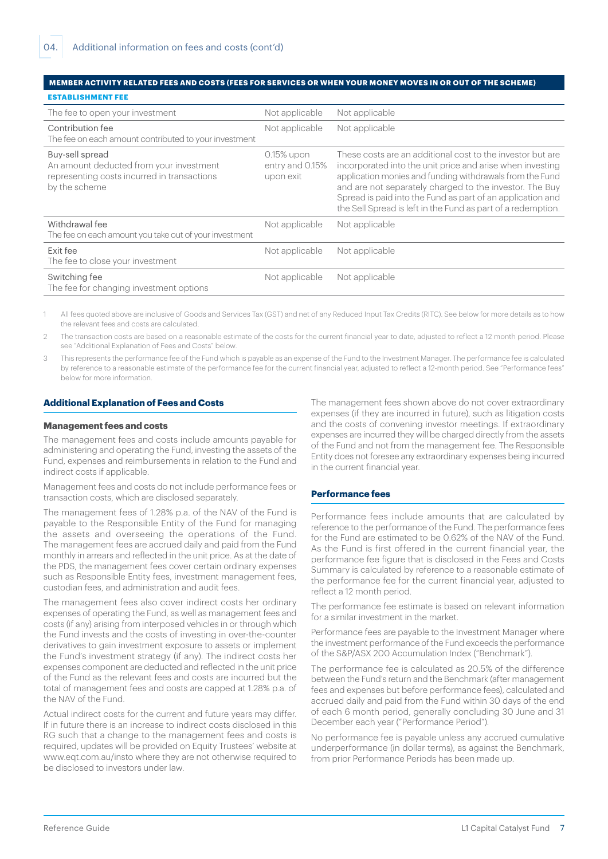#### **MEMBER ACTIVITY RELATED FEES AND COSTS (FEES FOR SERVICES OR WHEN YOUR MONEY MOVES IN OR OUT OF THE SCHEME) ESTABLISHMENT FEE**

| The fee to open your investment                                                                                            | Not applicable                             | Not applicable                                                                                                                                                                                                                                                                                                                                                               |  |  |  |
|----------------------------------------------------------------------------------------------------------------------------|--------------------------------------------|------------------------------------------------------------------------------------------------------------------------------------------------------------------------------------------------------------------------------------------------------------------------------------------------------------------------------------------------------------------------------|--|--|--|
| Contribution fee<br>The fee on each amount contributed to your investment                                                  | Not applicable                             | Not applicable                                                                                                                                                                                                                                                                                                                                                               |  |  |  |
| Buy-sell spread<br>An amount deducted from your investment<br>representing costs incurred in transactions<br>by the scheme | 0.15% upon<br>entry and 0.15%<br>upon exit | These costs are an additional cost to the investor but are<br>incorporated into the unit price and arise when investing<br>application monies and funding withdrawals from the Fund<br>and are not separately charged to the investor. The Buy<br>Spread is paid into the Fund as part of an application and<br>the Sell Spread is left in the Fund as part of a redemption. |  |  |  |
| Withdrawal fee<br>The fee on each amount you take out of your investment                                                   | Not applicable                             | Not applicable                                                                                                                                                                                                                                                                                                                                                               |  |  |  |
| Exit fee<br>The fee to close your investment                                                                               | Not applicable                             | Not applicable                                                                                                                                                                                                                                                                                                                                                               |  |  |  |
| Switching fee<br>The fee for changing investment options                                                                   | Not applicable                             | Not applicable                                                                                                                                                                                                                                                                                                                                                               |  |  |  |

1 All fees quoted above are inclusive of Goods and Services Tax (GST) and net of any Reduced Input Tax Credits (RITC). See below for more details as to how the relevant fees and costs are calculated.

2  The transaction costs are based on a reasonable estimate of the costs for the current financial year to date, adjusted to reflect a 12 month period. Please see "Additional Explanation of Fees and Costs" below.

3  This represents the performance fee of the Fund which is payable as an expense of the Fund to the Investment Manager. The performance fee is calculated by reference to a reasonable estimate of the performance fee for the current financial year, adjusted to reflect a 12-month period. See "Performance fees" below for more information.

# **Additional Explanation of Fees and Costs**

#### **Management fees and costs**

The management fees and costs include amounts payable for administering and operating the Fund, investing the assets of the Fund, expenses and reimbursements in relation to the Fund and indirect costs if applicable.

Management fees and costs do not include performance fees or transaction costs, which are disclosed separately.

The management fees of 1.28% p.a. of the NAV of the Fund is payable to the Responsible Entity of the Fund for managing the assets and overseeing the operations of the Fund. The management fees are accrued daily and paid from the Fund monthly in arrears and reflected in the unit price. As at the date of the PDS, the management fees cover certain ordinary expenses such as Responsible Entity fees, investment management fees, custodian fees, and administration and audit fees.

The management fees also cover indirect costs her ordinary expenses of operating the Fund, as well as management fees and costs (if any) arising from interposed vehicles in or through which the Fund invests and the costs of investing in over-the-counter derivatives to gain investment exposure to assets or implement the Fund's investment strategy (if any). The indirect costs her expenses component are deducted and reflected in the unit price of the Fund as the relevant fees and costs are incurred but the total of management fees and costs are capped at 1.28% p.a. of the NAV of the Fund.

Actual indirect costs for the current and future years may differ. If in future there is an increase to indirect costs disclosed in this RG such that a change to the management fees and costs is required, updates will be provided on Equity Trustees' website at [www.eqt.com.au/insto](http://www.eqt.com.au/insto) where they are not otherwise required to be disclosed to investors under law.

The management fees shown above do not cover extraordinary expenses (if they are incurred in future), such as litigation costs and the costs of convening investor meetings. If extraordinary expenses are incurred they will be charged directly from the assets of the Fund and not from the management fee. The Responsible Entity does not foresee any extraordinary expenses being incurred in the current financial year.

#### **Performance fees**

Performance fees include amounts that are calculated by reference to the performance of the Fund. The performance fees for the Fund are estimated to be 0.62% of the NAV of the Fund. As the Fund is first offered in the current financial year, the performance fee figure that is disclosed in the Fees and Costs Summary is calculated by reference to a reasonable estimate of the performance fee for the current financial year, adjusted to reflect a 12 month period.

The performance fee estimate is based on relevant information for a similar investment in the market.

Performance fees are payable to the Investment Manager where the investment performance of the Fund exceeds the performance of the S&P/ASX 200 Accumulation Index ("Benchmark").

The performance fee is calculated as 20.5% of the difference between the Fund's return and the Benchmark (after management fees and expenses but before performance fees), calculated and accrued daily and paid from the Fund within 30 days of the end of each 6 month period, generally concluding 30 June and 31 December each year ("Performance Period").

No performance fee is payable unless any accrued cumulative underperformance (in dollar terms), as against the Benchmark, from prior Performance Periods has been made up.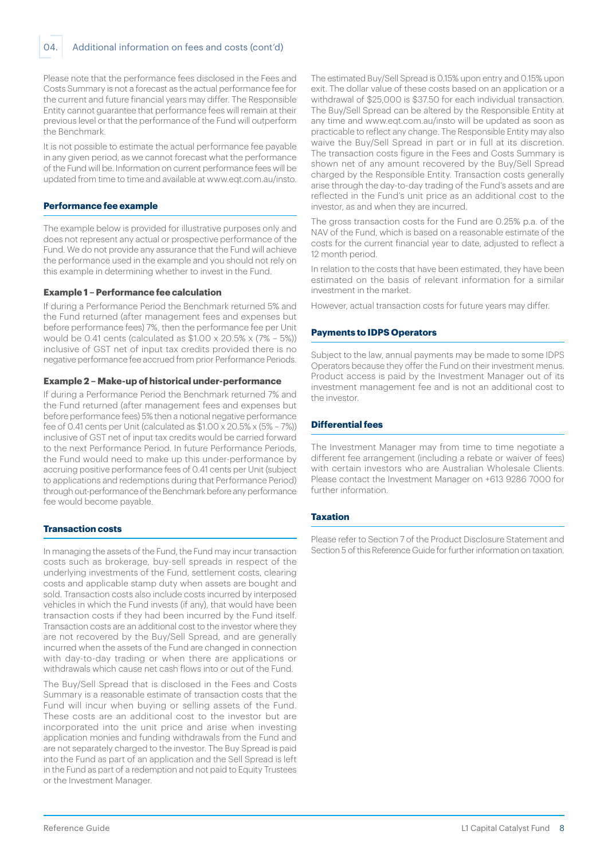04. Additional information on fees and costs (cont'd)

Please note that the performance fees disclosed in the Fees and Costs Summary is not a forecast as the actual performance fee for the current and future financial years may differ. The Responsible Entity cannot guarantee that performance fees will remain at their previous level or that the performance of the Fund will outperform the Benchmark.

It is not possible to estimate the actual performance fee payable in any given period, as we cannot forecast what the performance of the Fund will be. Information on current performance fees will be updated from time to time and available at [www.eqt.com.au/insto.](http://www.eqt.com.au/insto)

#### **Performance fee example**

The example below is provided for illustrative purposes only and does not represent any actual or prospective performance of the Fund. We do not provide any assurance that the Fund will achieve the performance used in the example and you should not rely on this example in determining whether to invest in the Fund.

#### **Example 1 – Performance fee calculation**

If during a Performance Period the Benchmark returned 5% and the Fund returned (after management fees and expenses but before performance fees) 7%, then the performance fee per Unit would be 0.41 cents (calculated as \$1.00 x 20.5% x (7% – 5%)) inclusive of GST net of input tax credits provided there is no negative performance fee accrued from prior Performance Periods.

#### **Example 2 – Make-up of historical under-performance**

If during a Performance Period the Benchmark returned 7% and the Fund returned (after management fees and expenses but before performance fees) 5% then a notional negative performance fee of 0.41 cents per Unit (calculated as \$1.00 x 20.5% x (5% – 7%)) inclusive of GST net of input tax credits would be carried forward to the next Performance Period. In future Performance Periods, the Fund would need to make up this under-performance by accruing positive performance fees of 0.41 cents per Unit (subject to applications and redemptions during that Performance Period) through out-performance of the Benchmark before any performance fee would become payable.

# **Transaction costs**

In managing the assets of the Fund, the Fund may incur transaction costs such as brokerage, buy-sell spreads in respect of the underlying investments of the Fund, settlement costs, clearing costs and applicable stamp duty when assets are bought and sold. Transaction costs also include costs incurred by interposed vehicles in which the Fund invests (if any), that would have been transaction costs if they had been incurred by the Fund itself. Transaction costs are an additional cost to the investor where they are not recovered by the Buy/Sell Spread, and are generally incurred when the assets of the Fund are changed in connection with day-to-day trading or when there are applications or withdrawals which cause net cash flows into or out of the Fund.

The Buy/Sell Spread that is disclosed in the Fees and Costs Summary is a reasonable estimate of transaction costs that the Fund will incur when buying or selling assets of the Fund. These costs are an additional cost to the investor but are incorporated into the unit price and arise when investing application monies and funding withdrawals from the Fund and are not separately charged to the investor. The Buy Spread is paid into the Fund as part of an application and the Sell Spread is left in the Fund as part of a redemption and not paid to Equity Trustees or the Investment Manager.

The estimated Buy/Sell Spread is 0.15% upon entry and 0.15% upon exit. The dollar value of these costs based on an application or a withdrawal of \$25,000 is \$37.50 for each individual transaction. The Buy/Sell Spread can be altered by the Responsible Entity at any time and [www.eqt.com.au/insto](http://www.eqt.com.au/insto) will be updated as soon as practicable to reflect any change. The Responsible Entity may also waive the Buy/Sell Spread in part or in full at its discretion. The transaction costs figure in the Fees and Costs Summary is shown net of any amount recovered by the Buy/Sell Spread charged by the Responsible Entity. Transaction costs generally arise through the day-to-day trading of the Fund's assets and are reflected in the Fund's unit price as an additional cost to the investor, as and when they are incurred.

The gross transaction costs for the Fund are 0.25% p.a. of the NAV of the Fund, which is based on a reasonable estimate of the costs for the current financial year to date, adjusted to reflect a 12 month period.

In relation to the costs that have been estimated, they have been estimated on the basis of relevant information for a similar investment in the market.

However, actual transaction costs for future years may differ.

#### **Payments to IDPS Operators**

Subject to the law, annual payments may be made to some IDPS Operators because they offer the Fund on their investment menus. Product access is paid by the Investment Manager out of its investment management fee and is not an additional cost to the investor.

# **Differential fees**

The Investment Manager may from time to time negotiate a different fee arrangement (including a rebate or waiver of fees) with certain investors who are Australian Wholesale Clients. Please contact the Investment Manager on +613 9286 7000 for further information.

# **Taxation**

Please refer to Section 7 of the Product Disclosure Statement and Section 5 of this Reference Guide for further information on taxation.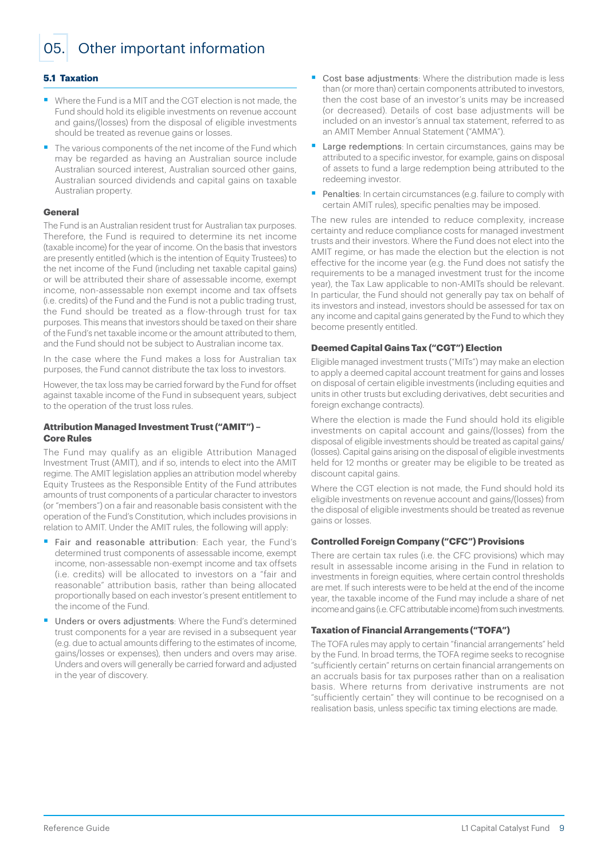<span id="page-8-0"></span>05. Other important information

# **5.1 Taxation**

- Where the Fund is a MIT and the CGT election is not made, the Fund should hold its eligible investments on revenue account and gains/(losses) from the disposal of eligible investments should be treated as revenue gains or losses.
- The various components of the net income of the Fund which may be regarded as having an Australian source include Australian sourced interest, Australian sourced other gains, Australian sourced dividends and capital gains on taxable Australian property.

#### **General**

The Fund is an Australian resident trust for Australian tax purposes. Therefore, the Fund is required to determine its net income (taxable income) for the year of income. On the basis that investors are presently entitled (which is the intention of Equity Trustees) to the net income of the Fund (including net taxable capital gains) or will be attributed their share of assessable income, exempt income, non-assessable non exempt income and tax offsets (i.e. credits) of the Fund and the Fund is not a public trading trust, the Fund should be treated as a flow-through trust for tax purposes. This means that investors should be taxed on their share of the Fund's net taxable income or the amount attributed to them, and the Fund should not be subject to Australian income tax.

In the case where the Fund makes a loss for Australian tax purposes, the Fund cannot distribute the tax loss to investors.

However, the tax loss may be carried forward by the Fund for offset against taxable income of the Fund in subsequent years, subject to the operation of the trust loss rules.

#### **Attribution Managed Investment Trust ("AMIT") – Core Rules**

The Fund may qualify as an eligible Attribution Managed Investment Trust (AMIT), and if so, intends to elect into the AMIT regime. The AMIT legislation applies an attribution model whereby Equity Trustees as the Responsible Entity of the Fund attributes amounts of trust components of a particular character to investors (or "members") on a fair and reasonable basis consistent with the operation of the Fund's Constitution, which includes provisions in relation to AMIT. Under the AMIT rules, the following will apply:

- Fair and reasonable attribution: Each year, the Fund's determined trust components of assessable income, exempt income, non-assessable non-exempt income and tax offsets (i.e. credits) will be allocated to investors on a "fair and reasonable" attribution basis, rather than being allocated proportionally based on each investor's present entitlement to the income of the Fund.
- Unders or overs adjustments: Where the Fund's determined trust components for a year are revised in a subsequent year (e.g. due to actual amounts differing to the estimates of income, gains/losses or expenses), then unders and overs may arise. Unders and overs will generally be carried forward and adjusted in the year of discovery.
- § Cost base adjustments: Where the distribution made is less than (or more than) certain components attributed to investors, then the cost base of an investor's units may be increased (or decreased). Details of cost base adjustments will be included on an investor's annual tax statement, referred to as an AMIT Member Annual Statement ("AMMA").
- Large redemptions: In certain circumstances, gains may be attributed to a specific investor, for example, gains on disposal of assets to fund a large redemption being attributed to the redeeming investor.
- Penalties: In certain circumstances (e.g. failure to comply with certain AMIT rules), specific penalties may be imposed.

The new rules are intended to reduce complexity, increase certainty and reduce compliance costs for managed investment trusts and their investors. Where the Fund does not elect into the AMIT regime, or has made the election but the election is not effective for the income year (e.g. the Fund does not satisfy the requirements to be a managed investment trust for the income year), the Tax Law applicable to non-AMITs should be relevant. In particular, the Fund should not generally pay tax on behalf of its investors and instead, investors should be assessed for tax on any income and capital gains generated by the Fund to which they become presently entitled.

#### **Deemed Capital Gains Tax ("CGT") Election**

Eligible managed investment trusts ("MITs") may make an election to apply a deemed capital account treatment for gains and losses on disposal of certain eligible investments (including equities and units in other trusts but excluding derivatives, debt securities and foreign exchange contracts).

Where the election is made the Fund should hold its eligible investments on capital account and gains/(losses) from the disposal of eligible investments should be treated as capital gains/ (losses). Capital gains arising on the disposal of eligible investments held for 12 months or greater may be eligible to be treated as discount capital gains.

Where the CGT election is not made, the Fund should hold its eligible investments on revenue account and gains/(losses) from the disposal of eligible investments should be treated as revenue gains or losses.

# **Controlled Foreign Company ("CFC") Provisions**

There are certain tax rules (i.e. the CFC provisions) which may result in assessable income arising in the Fund in relation to investments in foreign equities, where certain control thresholds are met. If such interests were to be held at the end of the income year, the taxable income of the Fund may include a share of net income and gains (i.e. CFC attributable income) from such investments.

## **Taxation of Financial Arrangements ("TOFA")**

The TOFA rules may apply to certain "financial arrangements" held by the Fund. In broad terms, the TOFA regime seeks to recognise "sufficiently certain" returns on certain financial arrangements on an accruals basis for tax purposes rather than on a realisation basis. Where returns from derivative instruments are not "sufficiently certain" they will continue to be recognised on a realisation basis, unless specific tax timing elections are made.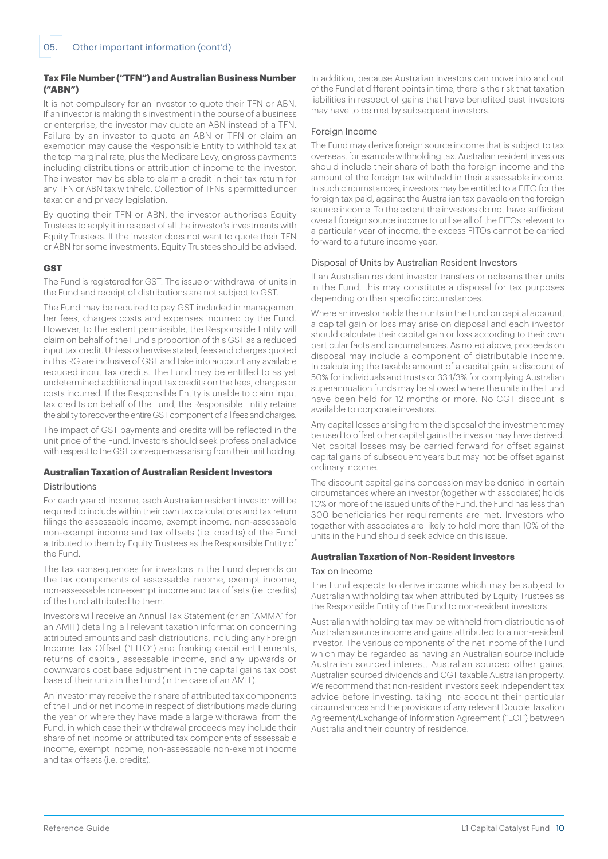# **Tax File Number ("TFN") and Australian Business Number ("ABN")**

It is not compulsory for an investor to quote their TFN or ABN. If an investor is making this investment in the course of a business or enterprise, the investor may quote an ABN instead of a TFN. Failure by an investor to quote an ABN or TFN or claim an exemption may cause the Responsible Entity to withhold tax at the top marginal rate, plus the Medicare Levy, on gross payments including distributions or attribution of income to the investor. The investor may be able to claim a credit in their tax return for any TFN or ABN tax withheld. Collection of TFNs is permitted under taxation and privacy legislation.

By quoting their TFN or ABN, the investor authorises Equity Trustees to apply it in respect of all the investor's investments with Equity Trustees. If the investor does not want to quote their TFN or ABN for some investments, Equity Trustees should be advised.

# **GST**

The Fund is registered for GST. The issue or withdrawal of units in the Fund and receipt of distributions are not subject to GST.

The Fund may be required to pay GST included in management her fees, charges costs and expenses incurred by the Fund. However, to the extent permissible, the Responsible Entity will claim on behalf of the Fund a proportion of this GST as a reduced input tax credit. Unless otherwise stated, fees and charges quoted in this RG are inclusive of GST and take into account any available reduced input tax credits. The Fund may be entitled to as yet undetermined additional input tax credits on the fees, charges or costs incurred. If the Responsible Entity is unable to claim input tax credits on behalf of the Fund, the Responsible Entity retains the ability to recover the entire GST component of all fees and charges.

The impact of GST payments and credits will be reflected in the unit price of the Fund. Investors should seek professional advice with respect to the GST consequences arising from their unit holding.

# **Australian Taxation of Australian Resident Investors**

# Distributions

For each year of income, each Australian resident investor will be required to include within their own tax calculations and tax return filings the assessable income, exempt income, non-assessable non-exempt income and tax offsets (i.e. credits) of the Fund attributed to them by Equity Trustees as the Responsible Entity of the Fund.

The tax consequences for investors in the Fund depends on the tax components of assessable income, exempt income, non-assessable non-exempt income and tax offsets (i.e. credits) of the Fund attributed to them.

Investors will receive an Annual Tax Statement (or an "AMMA" for an AMIT) detailing all relevant taxation information concerning attributed amounts and cash distributions, including any Foreign Income Tax Offset ("FITO") and franking credit entitlements, returns of capital, assessable income, and any upwards or downwards cost base adjustment in the capital gains tax cost base of their units in the Fund (in the case of an AMIT).

An investor may receive their share of attributed tax components of the Fund or net income in respect of distributions made during the year or where they have made a large withdrawal from the Fund, in which case their withdrawal proceeds may include their share of net income or attributed tax components of assessable income, exempt income, non-assessable non-exempt income and tax offsets (i.e. credits).

In addition, because Australian investors can move into and out of the Fund at different points in time, there is the risk that taxation liabilities in respect of gains that have benefited past investors may have to be met by subsequent investors.

# Foreign Income

The Fund may derive foreign source income that is subject to tax overseas, for example withholding tax. Australian resident investors should include their share of both the foreign income and the amount of the foreign tax withheld in their assessable income. In such circumstances, investors may be entitled to a FITO for the foreign tax paid, against the Australian tax payable on the foreign source income. To the extent the investors do not have sufficient overall foreign source income to utilise all of the FITOs relevant to a particular year of income, the excess FITOs cannot be carried forward to a future income year.

# Disposal of Units by Australian Resident Investors

If an Australian resident investor transfers or redeems their units in the Fund, this may constitute a disposal for tax purposes depending on their specific circumstances.

Where an investor holds their units in the Fund on capital account, a capital gain or loss may arise on disposal and each investor should calculate their capital gain or loss according to their own particular facts and circumstances. As noted above, proceeds on disposal may include a component of distributable income. In calculating the taxable amount of a capital gain, a discount of 50% for individuals and trusts or 33 1/3% for complying Australian superannuation funds may be allowed where the units in the Fund have been held for 12 months or more. No CGT discount is available to corporate investors.

Any capital losses arising from the disposal of the investment may be used to offset other capital gains the investor may have derived. Net capital losses may be carried forward for offset against capital gains of subsequent years but may not be offset against ordinary income.

The discount capital gains concession may be denied in certain circumstances where an investor (together with associates) holds 10% or more of the issued units of the Fund, the Fund has less than 300 beneficiaries her requirements are met. Investors who together with associates are likely to hold more than 10% of the units in the Fund should seek advice on this issue.

# **Australian Taxation of Non-Resident Investors**

#### Tax on Income

The Fund expects to derive income which may be subject to Australian withholding tax when attributed by Equity Trustees as the Responsible Entity of the Fund to non-resident investors.

Australian withholding tax may be withheld from distributions of Australian source income and gains attributed to a non-resident investor. The various components of the net income of the Fund which may be regarded as having an Australian source include Australian sourced interest, Australian sourced other gains, Australian sourced dividends and CGT taxable Australian property. We recommend that non-resident investors seek independent tax advice before investing, taking into account their particular circumstances and the provisions of any relevant Double Taxation Agreement/Exchange of Information Agreement ("EOI") between Australia and their country of residence.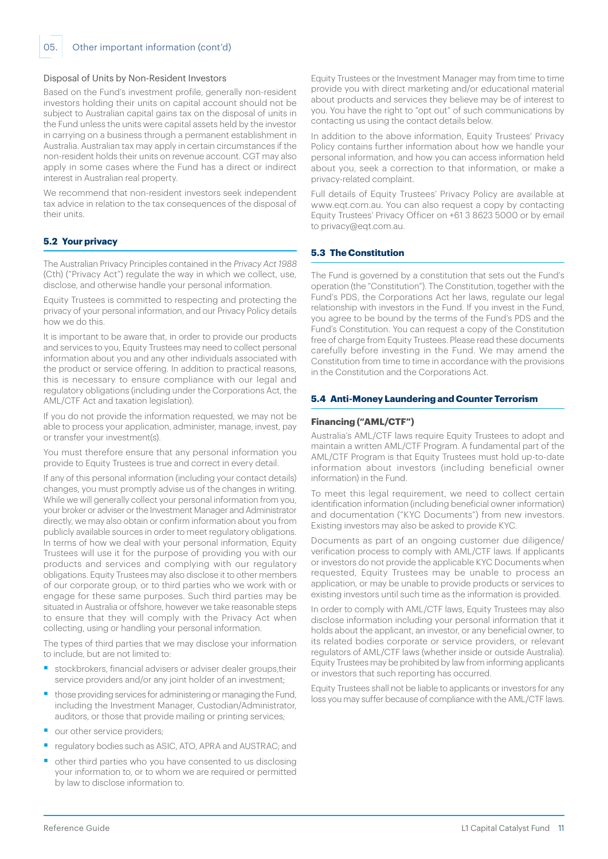#### Disposal of Units by Non-Resident Investors

Based on the Fund's investment profile, generally non-resident investors holding their units on capital account should not be subject to Australian capital gains tax on the disposal of units in the Fund unless the units were capital assets held by the investor in carrying on a business through a permanent establishment in Australia. Australian tax may apply in certain circumstances if the non-resident holds their units on revenue account. CGT may also apply in some cases where the Fund has a direct or indirect interest in Australian real property.

We recommend that non-resident investors seek independent tax advice in relation to the tax consequences of the disposal of their units.

# **5.2 Your privacy**

The Australian Privacy Principles contained in the Privacy Act 1988 (Cth) ("Privacy Act") regulate the way in which we collect, use, disclose, and otherwise handle your personal information.

Equity Trustees is committed to respecting and protecting the privacy of your personal information, and our Privacy Policy details how we do this.

It is important to be aware that, in order to provide our products and services to you, Equity Trustees may need to collect personal information about you and any other individuals associated with the product or service offering. In addition to practical reasons, this is necessary to ensure compliance with our legal and regulatory obligations (including under the Corporations Act, the AML/CTF Act and taxation legislation).

If you do not provide the information requested, we may not be able to process your application, administer, manage, invest, pay or transfer your investment(s).

You must therefore ensure that any personal information you provide to Equity Trustees is true and correct in every detail.

If any of this personal information (including your contact details) changes, you must promptly advise us of the changes in writing. While we will generally collect your personal information from you, your broker or adviser or the Investment Manager and Administrator directly, we may also obtain or confirm information about you from publicly available sources in order to meet regulatory obligations. In terms of how we deal with your personal information, Equity Trustees will use it for the purpose of providing you with our products and services and complying with our regulatory obligations. Equity Trustees may also disclose it to other members of our corporate group, or to third parties who we work with or engage for these same purposes. Such third parties may be situated in Australia or offshore, however we take reasonable steps to ensure that they will comply with the Privacy Act when collecting, using or handling your personal information.

The types of third parties that we may disclose your information to include, but are not limited to:

- stockbrokers, financial advisers or adviser dealer groups, their service providers and/or any joint holder of an investment;
- those providing services for administering or managing the Fund, including the Investment Manager, Custodian/Administrator, auditors, or those that provide mailing or printing services;
- our other service providers;
- regulatory bodies such as ASIC, ATO, APRA and AUSTRAC; and
- § other third parties who you have consented to us disclosing your information to, or to whom we are required or permitted by law to disclose information to.

Equity Trustees or the Investment Manager may from time to time provide you with direct marketing and/or educational material about products and services they believe may be of interest to you. You have the right to "opt out" of such communications by contacting us using the contact details below.

In addition to the above information, Equity Trustees' Privacy Policy contains further information about how we handle your personal information, and how you can access information held about you, seek a correction to that information, or make a privacy-related complaint.

Full details of Equity Trustees' Privacy Policy are available at [www.eqt.com.au](http://www.eqt.com.au). You can also request a copy by contacting Equity Trustees' Privacy Officer on +61 3 8623 5000 or by email to [privacy@eqt.com.au.](mailto:privacy%40eqt.com.au?subject=)

# **5.3 The Constitution**

The Fund is governed by a constitution that sets out the Fund's operation (the "Constitution"). The Constitution, together with the Fund's PDS, the Corporations Act her laws, regulate our legal relationship with investors in the Fund. If you invest in the Fund, you agree to be bound by the terms of the Fund's PDS and the Fund's Constitution. You can request a copy of the Constitution free of charge from Equity Trustees. Please read these documents carefully before investing in the Fund. We may amend the Constitution from time to time in accordance with the provisions in the Constitution and the Corporations Act.

#### **5.4 Anti-Money Laundering and Counter Terrorism**

#### **Financing ("AML/CTF")**

Australia's AML/CTF laws require Equity Trustees to adopt and maintain a written AML/CTF Program. A fundamental part of the AML/CTF Program is that Equity Trustees must hold up-to-date information about investors (including beneficial owner information) in the Fund.

To meet this legal requirement, we need to collect certain identification information (including beneficial owner information) and documentation ("KYC Documents") from new investors. Existing investors may also be asked to provide KYC.

Documents as part of an ongoing customer due diligence/ verification process to comply with AML/CTF laws. If applicants or investors do not provide the applicable KYC Documents when requested, Equity Trustees may be unable to process an application, or may be unable to provide products or services to existing investors until such time as the information is provided.

In order to comply with AML/CTF laws, Equity Trustees may also disclose information including your personal information that it holds about the applicant, an investor, or any beneficial owner, to its related bodies corporate or service providers, or relevant regulators of AML/CTF laws (whether inside or outside Australia). Equity Trustees may be prohibited by law from informing applicants or investors that such reporting has occurred.

Equity Trustees shall not be liable to applicants or investors for any loss you may suffer because of compliance with the AML/CTF laws.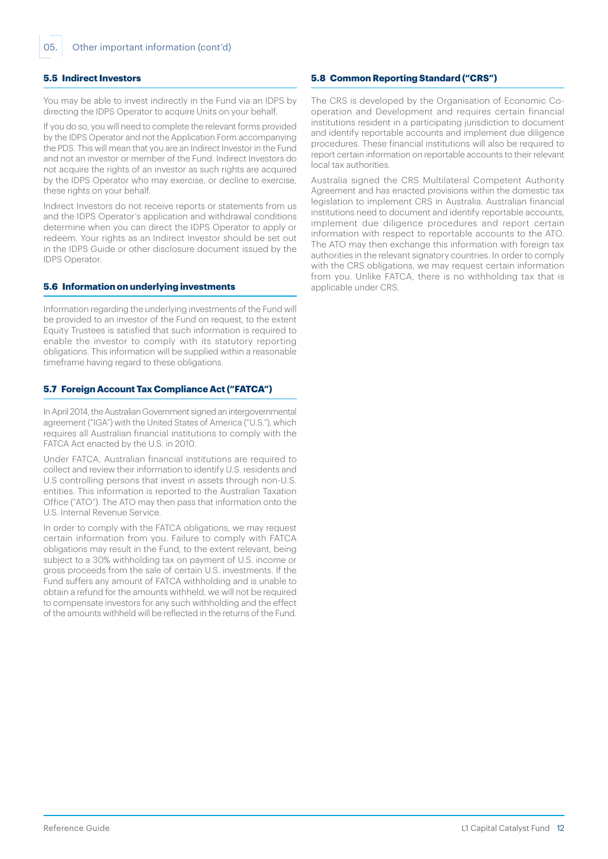## **5.5 Indirect Investors**

You may be able to invest indirectly in the Fund via an IDPS by directing the IDPS Operator to acquire Units on your behalf.

If you do so, you will need to complete the relevant forms provided by the IDPS Operator and not the Application Form accompanying the PDS. This will mean that you are an Indirect Investor in the Fund and not an investor or member of the Fund. Indirect Investors do not acquire the rights of an investor as such rights are acquired by the IDPS Operator who may exercise, or decline to exercise, these rights on your behalf.

Indirect Investors do not receive reports or statements from us and the IDPS Operator's application and withdrawal conditions determine when you can direct the IDPS Operator to apply or redeem. Your rights as an Indirect Investor should be set out in the IDPS Guide or other disclosure document issued by the IDPS Operator.

#### **5.6 Information on underlying investments**

Information regarding the underlying investments of the Fund will be provided to an investor of the Fund on request, to the extent Equity Trustees is satisfied that such information is required to enable the investor to comply with its statutory reporting obligations. This information will be supplied within a reasonable timeframe having regard to these obligations.

# **5.7 Foreign Account Tax Compliance Act ("FATCA")**

In April 2014, the Australian Government signed an intergovernmental agreement ("IGA") with the United States of America ("U.S."), which requires all Australian financial institutions to comply with the FATCA Act enacted by the U.S. in 2010.

Under FATCA, Australian financial institutions are required to collect and review their information to identify U.S. residents and U.S controlling persons that invest in assets through non-U.S. entities. This information is reported to the Australian Taxation Office ("ATO"). The ATO may then pass that information onto the U.S. Internal Revenue Service.

In order to comply with the FATCA obligations, we may request certain information from you. Failure to comply with FATCA obligations may result in the Fund, to the extent relevant, being subject to a 30% withholding tax on payment of U.S. income or gross proceeds from the sale of certain U.S. investments. If the Fund suffers any amount of FATCA withholding and is unable to obtain a refund for the amounts withheld, we will not be required to compensate investors for any such withholding and the effect of the amounts withheld will be reflected in the returns of the Fund.

# **5.8 Common Reporting Standard ("CRS")**

The CRS is developed by the Organisation of Economic Cooperation and Development and requires certain financial institutions resident in a participating jurisdiction to document and identify reportable accounts and implement due diligence procedures. These financial institutions will also be required to report certain information on reportable accounts to their relevant local tax authorities.

Australia signed the CRS Multilateral Competent Authority Agreement and has enacted provisions within the domestic tax legislation to implement CRS in Australia. Australian financial institutions need to document and identify reportable accounts, implement due diligence procedures and report certain information with respect to reportable accounts to the ATO. The ATO may then exchange this information with foreign tax authorities in the relevant signatory countries. In order to comply with the CRS obligations, we may request certain information from you. Unlike FATCA, there is no withholding tax that is applicable under CRS.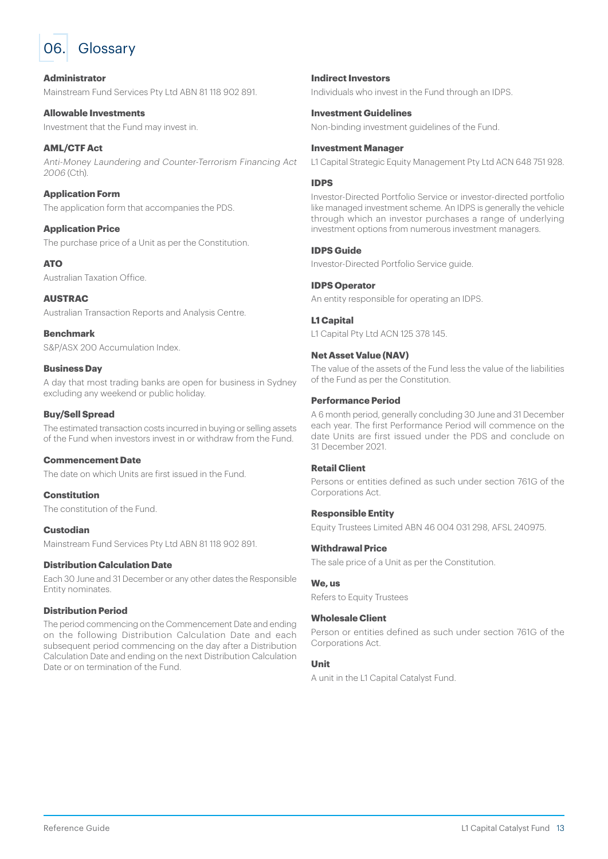<span id="page-12-0"></span>

# **Administrator**

Mainstream Fund Services Pty Ltd ABN 81 118 902 891.

**Allowable Investments** Investment that the Fund may invest in.

## **AML/CTF Act** Anti-Money Laundering and Counter-Terrorism Financing Act 2006 (Cth).

# **Application Form**

The application form that accompanies the PDS.

# **Application Price**

The purchase price of a Unit as per the Constitution.

# **ATO**

Australian Taxation Office.

# **AUSTRAC**

Australian Transaction Reports and Analysis Centre.

**Benchmark** S&P/ASX 200 Accumulation Index.

# **Business Day**

A day that most trading banks are open for business in Sydney excluding any weekend or public holiday.

# **Buy/Sell Spread**

The estimated transaction costs incurred in buying or selling assets of the Fund when investors invest in or withdraw from the Fund.

#### **Commencement Date**

The date on which Units are first issued in the Fund.

**Constitution**

The constitution of the Fund.

# **Custodian**

Mainstream Fund Services Pty Ltd ABN 81 118 902 891.

# **Distribution Calculation Date**

Each 30 June and 31 December or any other dates the Responsible Entity nominates.

# **Distribution Period**

The period commencing on the Commencement Date and ending on the following Distribution Calculation Date and each subsequent period commencing on the day after a Distribution Calculation Date and ending on the next Distribution Calculation Date or on termination of the Fund.

# **Indirect Investors**

Individuals who invest in the Fund through an IDPS.

# **Investment Guidelines**

Non-binding investment guidelines of the Fund.

# **Investment Manager**

L1 Capital Strategic Equity Management Pty Ltd ACN 648 751 928.

# **IDPS**

Investor-Directed Portfolio Service or investor-directed portfolio like managed investment scheme. An IDPS is generally the vehicle through which an investor purchases a range of underlying investment options from numerous investment managers.

# **IDPS Guide**

Investor-Directed Portfolio Service guide.

# **IDPS Operator**

An entity responsible for operating an IDPS.

# **L1 Capital**

L1 Capital Pty Ltd ACN 125 378 145

# **Net Asset Value (NAV)**

The value of the assets of the Fund less the value of the liabilities of the Fund as per the Constitution.

# **Performance Period**

A 6 month period, generally concluding 30 June and 31 December each year. The first Performance Period will commence on the date Units are first issued under the PDS and conclude on 31 December 2021.

# **Retail Client**

Persons or entities defined as such under section 761G of the Corporations Act.

#### **Responsible Entity**

Equity Trustees Limited ABN 46 004 031 298, AFSL 240975.

#### **Withdrawal Price**

The sale price of a Unit as per the Constitution.

#### **We, us**

Refers to Equity Trustees

#### **Wholesale Client**

Person or entities defined as such under section 761G of the Corporations Act.

# **Unit**

A unit in the L1 Capital Catalyst Fund.